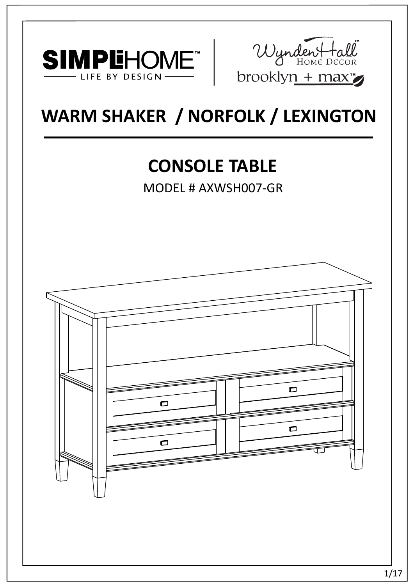



# **WARM SHAKER / NORFOLK / LEXINGTON**

# **CONSOLE TABLE**

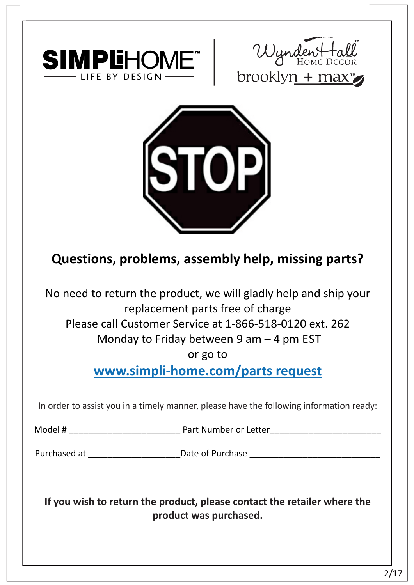





# **Questions, problems, assembly help, missing parts?**

No need to return the product, we will gladly help and ship your replacement parts free of charge Please call Customer Service at 1-866-518-0120 ext. 262

Monday to Friday between 9 am – 4 pm EST

or go to

**www.simpli-home.com/parts request** 

In order to assist you in a timely manner, please have the following information ready:

Model # \_\_\_\_\_\_\_\_\_\_\_\_\_\_\_\_\_\_\_\_\_\_\_ Part Number or Letter\_\_\_\_\_\_\_\_\_\_\_\_\_\_\_\_\_\_\_\_\_\_\_

Purchased at \_\_\_\_\_\_\_\_\_\_\_\_\_\_\_\_\_\_\_\_\_\_\_\_\_\_\_\_\_Date of Purchase \_\_\_\_\_\_\_\_\_\_\_\_\_\_\_\_\_\_\_\_\_\_

**If you wish to return the product, please contact the retailer where the product was purchased.**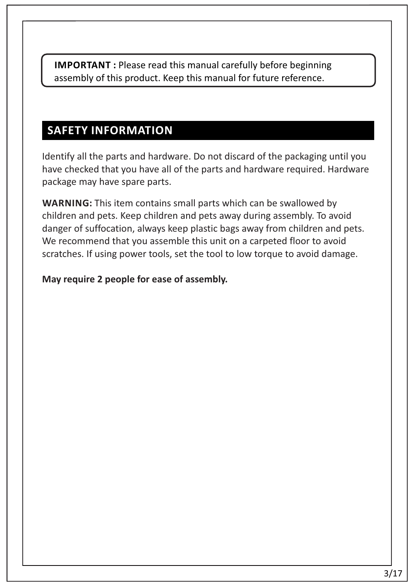**IMPORTANT :** Please read this manual carefully before beginning assembly of this product. Keep this manual for future reference.

## **SAFETY INFORMATION**

Identify all the parts and hardware. Do not discard of the packaging until you have checked that you have all of the parts and hardware required. Hardware package may have spare parts.

**WARNING:** This item contains small parts which can be swallowed by children and pets. Keep children and pets away during assembly. To avoid danger of suffocation, always keep plastic bags away from children and pets. We recommend that you assemble this unit on a carpeted floor to avoid scratches. If using power tools, set the tool to low torque to avoid damage.

#### **May require 2 people for ease of assembly.**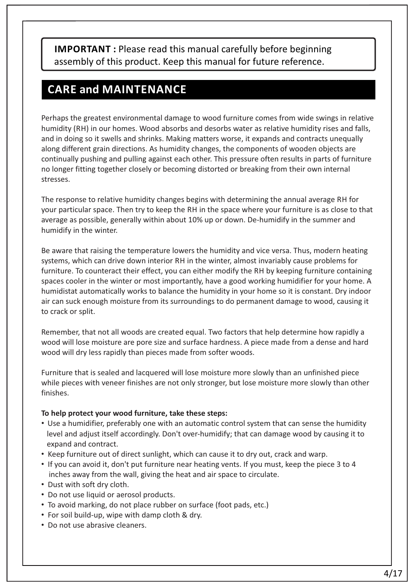**IMPORTANT :** Please read this manual carefully before beginning assembly of this product. Keep this manual for future reference.

#### **CARE and MAINTENANCE**

Perhaps the greatest environmental damage to wood furniture comes from wide swings in relative humidity (RH) in our homes. Wood absorbs and desorbs water as relative humidity rises and falls, and in doing so it swells and shrinks. Making matters worse, it expands and contracts unequally along different grain directions. As humidity changes, the components of wooden objects are continually pushing and pulling against each other. This pressure often results in parts of furniture no longer fitting together closely or becoming distorted or breaking from their own internal stresses.

The response to relative humidity changes begins with determining the annual average RH for your particular space. Then try to keep the RH in the space where your furniture is as close to that average as possible, generally within about 10% up or down. De-humidify in the summer and humidify in the winter.

Be aware that raising the temperature lowers the humidity and vice versa. Thus, modern heating systems, which can drive down interior RH in the winter, almost invariably cause problems for furniture. To counteract their effect, you can either modify the RH by keeping furniture containing spaces cooler in the winter or most importantly, have a good working humidifier for your home. A humidistat automatically works to balance the humidity in your home so it is constant. Dry indoor air can suck enough moisture from its surroundings to do permanent damage to wood, causing it to crack or split.

Remember, that not all woods are created equal. Two factors that help determine how rapidly a wood will lose moisture are pore size and surface hardness. A piece made from a dense and hard wood will dry less rapidly than pieces made from softer woods.

Furniture that is sealed and lacquered will lose moisture more slowly than an unfinished piece while pieces with veneer finishes are not only stronger, but lose moisture more slowly than other finishes.

#### **To help protect your wood furniture, take these steps:**

- Use a humidifier, preferably one with an automatic control system that can sense the humidity level and adjust itself accordingly. Don't over-humidify; that can damage wood by causing it to expand and contract.
- Keep furniture out of direct sunlight, which can cause it to dry out, crack and warp.
- If you can avoid it, don't put furniture near heating vents. If you must, keep the piece 3 to 4 inches away from the wall, giving the heat and air space to circulate.
- Dust with soft dry cloth.
- Do not use liquid or aerosol products.
- To avoid marking, do not place rubber on surface (foot pads, etc.)
- For soil build-up, wipe with damp cloth & dry.
- Do not use abrasive cleaners.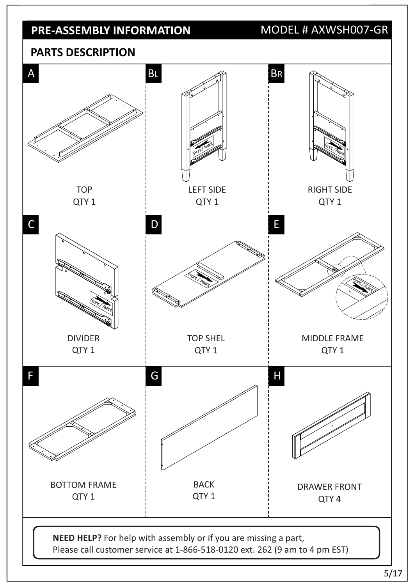## **PRE-ASSEMBLY INFORMATION**

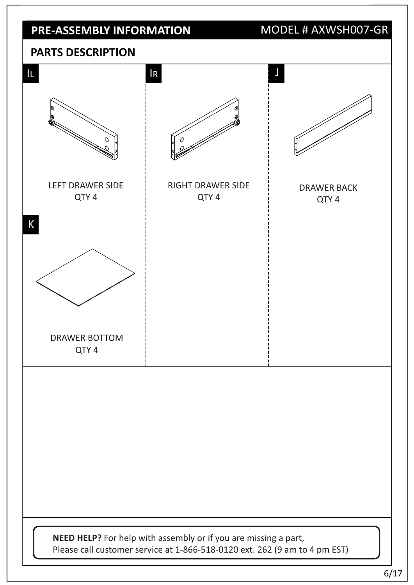## **PRE-ASSEMBLY INFORMATION**

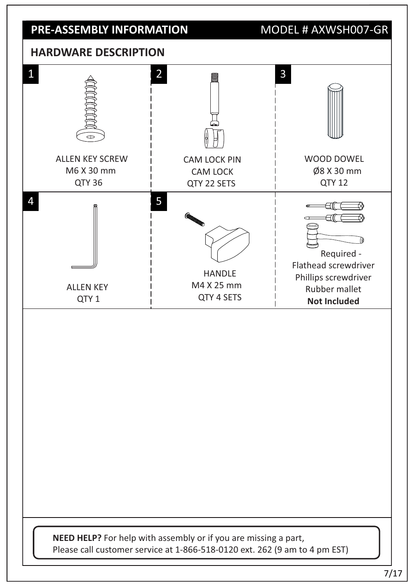#### **PRE-ASSEMBLY INFORMATION**

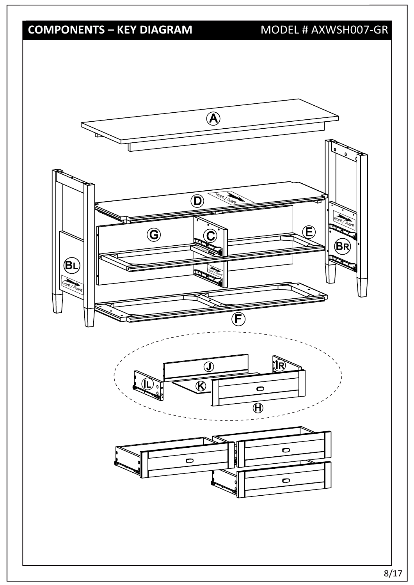# **COMPONENTS – KEY DIAGRAM**

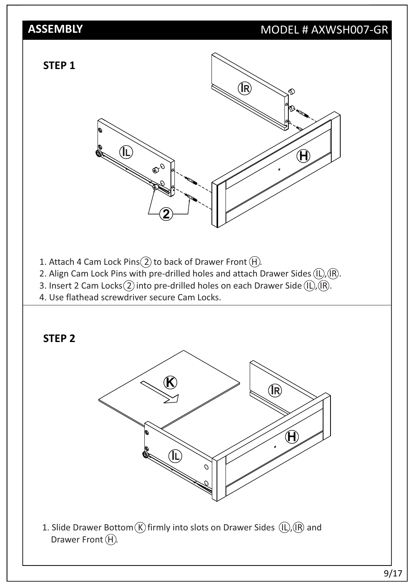## MODEL # AXWSH007-GR



- 1. Attach 4 Cam Lock Pins $(2)$  to back of Drawer Front  $(H)$ .
- 2. Align Cam Lock Pins with pre-drilled holes and attach Drawer Sides  $(\hat{L})$ ,  $(\hat{R})$ .
- 3. Insert 2 Cam Locks $(2)$  into pre-drilled holes on each Drawer Side  $(IL)$ ,  $(R)$ .
- 4. Use flathead screwdriver secure Cam Locks.

#### **STEP 2**



1. Slide Drawer Bottom  $\overline{K}$  firmly into slots on Drawer Sides  $\overline{L}$ ,  $\overline{R}$  and Drawer Front  $(H)$ .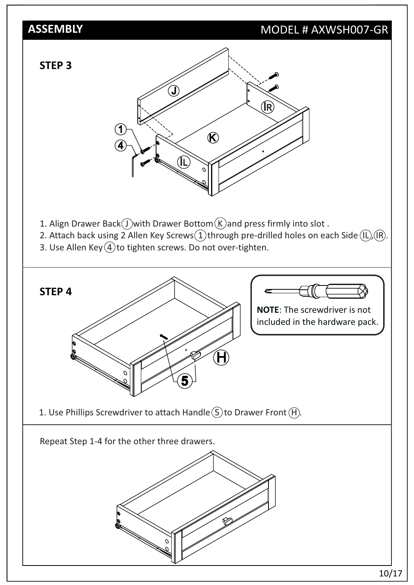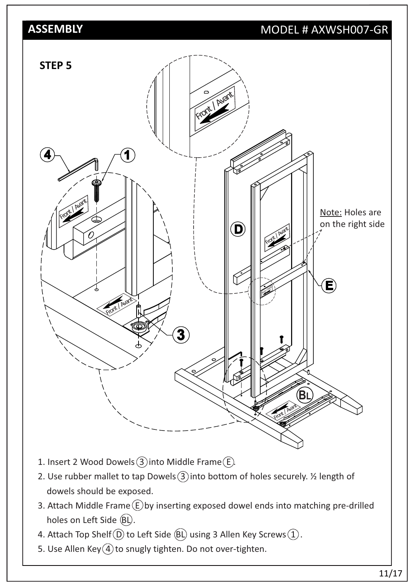

- 1. Insert 2 Wood Dowels  $(3)$  into Middle Frame  $(E)$ .
- 2. Use rubber mallet to tap Dowels  $(3)$  into bottom of holes securely.  $\frac{1}{2}$  length of dowels should be exposed.
- 3. Attach Middle Frame  $\circled$  by inserting exposed dowel ends into matching pre-drilled holes on Left Side  $(BL)$ .
- 4. Attach Top Shelf  $(D)$  to Left Side  $(BL)$  using 3 Allen Key Screws  $(1)$ .
- 5. Use Allen Key $(4)$  to snugly tighten. Do not over-tighten.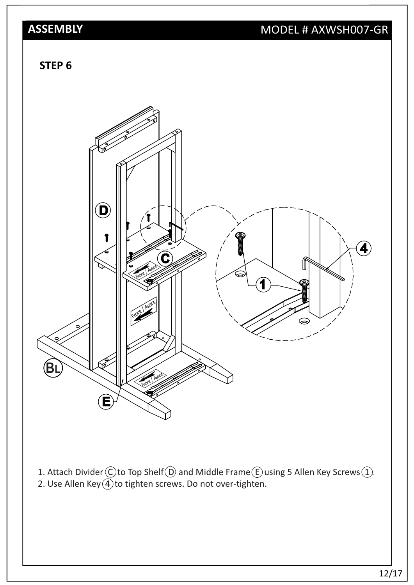# MODEL # AXWSH007-GR

#### **STEP 6**



- 1. Attach Divider  $\bigcirc$  to Top Shelf  $\bigcirc$  and Middle Frame  $\bigcirc$  using 5 Allen Key Screws  $\bigcirc$ .
- 2. Use Allen Key $\widetilde{4}$  to tighten screws. Do not over-tighten.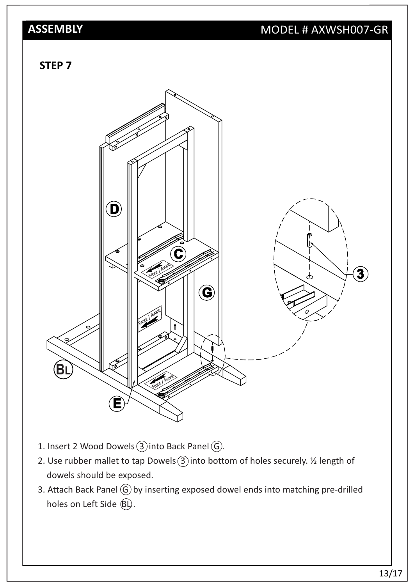# MODEL # AXWSH007-GR

#### **STEP 7**



- 1. Insert 2 Wood Dowels  $(3)$  into Back Panel  $(6)$ .
- 2. Use rubber mallet to tap Dowels  $(3)$  into bottom of holes securely.  $\frac{1}{2}$  length of dowels should be exposed.
- 3. Attach Back Panel  $\textcircled{G}$  by inserting exposed dowel ends into matching pre-drilled holes on Left Side  $(\widehat{BL})$ .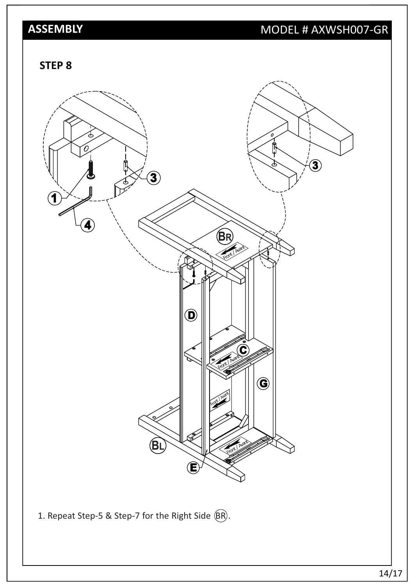# MODEL # AXWSH007-GR

**STEP 8**

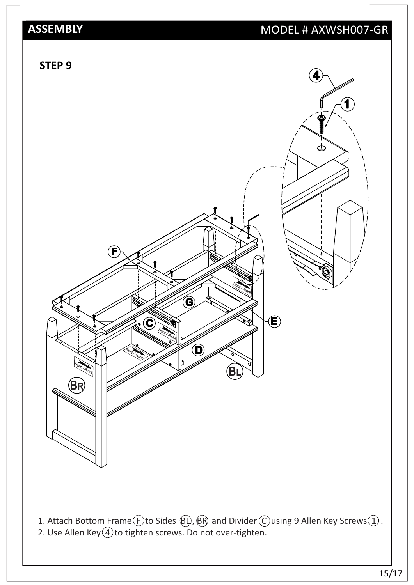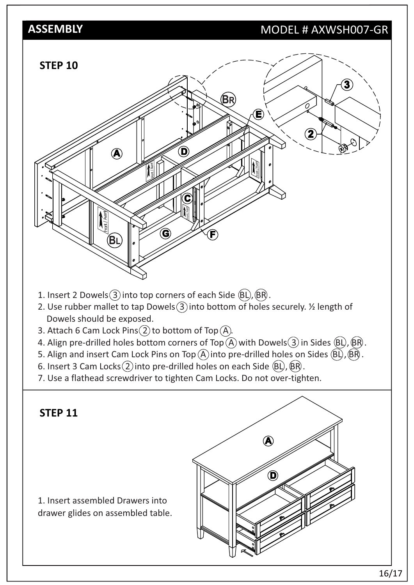#### MODEL # AXWSH007-GR



- 1. Insert 2 Dowels  $(3)$  into top corners of each Side  $(BL)$ ,  $(BR)$ .
- 2. Use rubber mallet to tap Dowels  $(3)$  into bottom of holes securely.  $\frac{1}{2}$  length of Dowels should be exposed.
- 3. Attach 6 Cam Lock Pins $(2)$  to bottom of Top $(A)$ .
- 4. Align pre-drilled holes bottom corners of Top  $\widetilde{A}$  with Dowels  $(3)$  in Sides  $(B)$ ,  $(B)$ .
- 5. Align and insert Cam Lock Pins on Top  $\widehat{A}$  into pre-drilled holes on Sides  $\widehat{B}$ ,  $\widehat{B}$ ,  $\widehat{B}$ ,
- 6. Insert 3 Cam Locks $(2)$  into pre-drilled holes on each Side  $(BL)$ ,  $(BR)$ .
- 7. Use a flathead screwdriver to tighten Cam Locks. Do not over-tighten.

#### **STEP 11**

1. Insert assembled Drawers into drawer glides on assembled table.